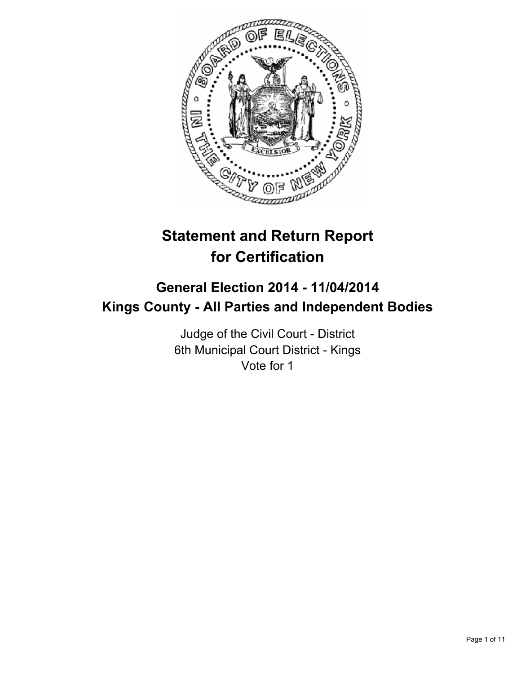

# **Statement and Return Report for Certification**

# **General Election 2014 - 11/04/2014 Kings County - All Parties and Independent Bodies**

Judge of the Civil Court - District 6th Municipal Court District - Kings Vote for 1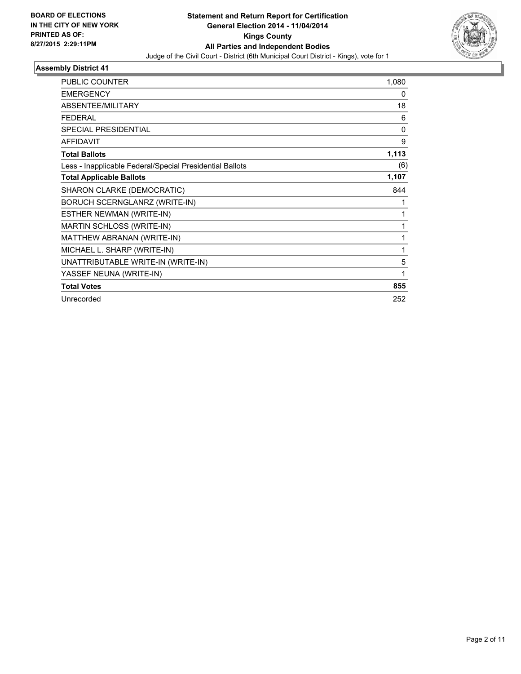

| <b>PUBLIC COUNTER</b>                                    | 1,080 |
|----------------------------------------------------------|-------|
| <b>EMERGENCY</b>                                         | 0     |
| <b>ABSENTEE/MILITARY</b>                                 | 18    |
| <b>FEDERAL</b>                                           | 6     |
| <b>SPECIAL PRESIDENTIAL</b>                              | 0     |
| <b>AFFIDAVIT</b>                                         | 9     |
| <b>Total Ballots</b>                                     | 1,113 |
| Less - Inapplicable Federal/Special Presidential Ballots | (6)   |
| <b>Total Applicable Ballots</b>                          | 1,107 |
| SHARON CLARKE (DEMOCRATIC)                               | 844   |
| BORUCH SCERNGLANRZ (WRITE-IN)                            | 1     |
| ESTHER NEWMAN (WRITE-IN)                                 | 1     |
| <b>MARTIN SCHLOSS (WRITE-IN)</b>                         | 1     |
| MATTHEW ABRANAN (WRITE-IN)                               | 1     |
| MICHAEL L. SHARP (WRITE-IN)                              | 1     |
| UNATTRIBUTABLE WRITE-IN (WRITE-IN)                       | 5     |
| YASSEF NEUNA (WRITE-IN)                                  | 1     |
| <b>Total Votes</b>                                       | 855   |
| Unrecorded                                               | 252   |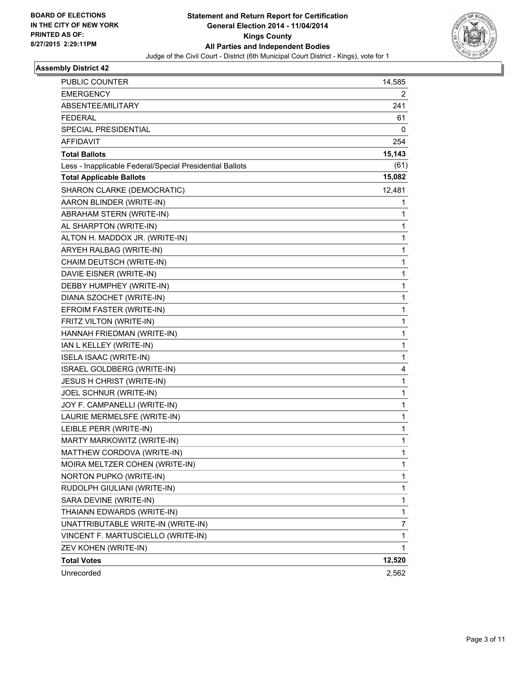

| PUBLIC COUNTER                                           | 14,585 |
|----------------------------------------------------------|--------|
| <b>EMERGENCY</b>                                         | 2      |
| ABSENTEE/MILITARY                                        | 241    |
| <b>FEDERAL</b>                                           | 61     |
| <b>SPECIAL PRESIDENTIAL</b>                              | 0      |
| AFFIDAVIT                                                | 254    |
| <b>Total Ballots</b>                                     | 15,143 |
| Less - Inapplicable Federal/Special Presidential Ballots | (61)   |
| <b>Total Applicable Ballots</b>                          | 15,082 |
| SHARON CLARKE (DEMOCRATIC)                               | 12,481 |
| AARON BLINDER (WRITE-IN)                                 | 1      |
| ABRAHAM STERN (WRITE-IN)                                 | 1      |
| AL SHARPTON (WRITE-IN)                                   | 1      |
| ALTON H. MADDOX JR. (WRITE-IN)                           | 1      |
| ARYEH RALBAG (WRITE-IN)                                  | 1      |
| CHAIM DEUTSCH (WRITE-IN)                                 | 1      |
| DAVIE EISNER (WRITE-IN)                                  | 1      |
| DEBBY HUMPHEY (WRITE-IN)                                 | 1      |
| DIANA SZOCHET (WRITE-IN)                                 | 1      |
| EFROIM FASTER (WRITE-IN)                                 | 1      |
| FRITZ VILTON (WRITE-IN)                                  | 1      |
| HANNAH FRIEDMAN (WRITE-IN)                               | 1      |
| IAN L KELLEY (WRITE-IN)                                  | 1      |
| <b>ISELA ISAAC (WRITE-IN)</b>                            | 1      |
| ISRAEL GOLDBERG (WRITE-IN)                               | 4      |
| <b>JESUS H CHRIST (WRITE-IN)</b>                         | 1      |
| JOEL SCHNUR (WRITE-IN)                                   | 1      |
| JOY F. CAMPANELLI (WRITE-IN)                             | 1      |
| LAURIE MERMELSFE (WRITE-IN)                              | 1      |
| LEIBLE PERR (WRITE-IN)                                   | 1      |
| MARTY MARKOWITZ (WRITE-IN)                               | 1      |
| MATTHEW CORDOVA (WRITE-IN)                               | 1      |
| MOIRA MELTZER COHEN (WRITE-IN)                           | 1      |
| NORTON PUPKO (WRITE-IN)                                  | 1      |
| RUDOLPH GIULIANI (WRITE-IN)                              | 1      |
| SARA DEVINE (WRITE-IN)                                   | 1      |
| THAIANN EDWARDS (WRITE-IN)                               | 1      |
| UNATTRIBUTABLE WRITE-IN (WRITE-IN)                       | 7      |
| VINCENT F. MARTUSCIELLO (WRITE-IN)                       | 1      |
| ZEV KOHEN (WRITE-IN)                                     | 1      |
| <b>Total Votes</b>                                       | 12,520 |
| Unrecorded                                               | 2,562  |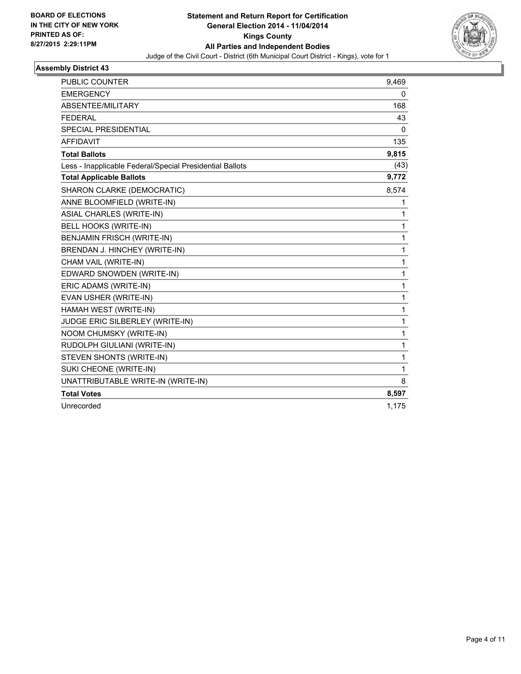

| <b>PUBLIC COUNTER</b>                                    | 9,469        |
|----------------------------------------------------------|--------------|
| <b>EMERGENCY</b>                                         | 0            |
| ABSENTEE/MILITARY                                        | 168          |
| <b>FEDERAL</b>                                           | 43           |
| <b>SPECIAL PRESIDENTIAL</b>                              | $\mathbf{0}$ |
| <b>AFFIDAVIT</b>                                         | 135          |
| <b>Total Ballots</b>                                     | 9,815        |
| Less - Inapplicable Federal/Special Presidential Ballots | (43)         |
| <b>Total Applicable Ballots</b>                          | 9,772        |
| SHARON CLARKE (DEMOCRATIC)                               | 8,574        |
| ANNE BLOOMFIELD (WRITE-IN)                               | 1            |
| <b>ASIAL CHARLES (WRITE-IN)</b>                          | 1            |
| <b>BELL HOOKS (WRITE-IN)</b>                             | 1            |
| <b>BENJAMIN FRISCH (WRITE-IN)</b>                        | 1            |
| BRENDAN J. HINCHEY (WRITE-IN)                            | 1            |
| CHAM VAIL (WRITE-IN)                                     | 1            |
| EDWARD SNOWDEN (WRITE-IN)                                | 1            |
| ERIC ADAMS (WRITE-IN)                                    | 1            |
| EVAN USHER (WRITE-IN)                                    | 1            |
| HAMAH WEST (WRITE-IN)                                    | 1            |
| JUDGE ERIC SILBERLEY (WRITE-IN)                          | 1            |
| NOOM CHUMSKY (WRITE-IN)                                  | 1            |
| RUDOLPH GIULIANI (WRITE-IN)                              | 1            |
| STEVEN SHONTS (WRITE-IN)                                 | 1            |
| SUKI CHEONE (WRITE-IN)                                   | 1            |
| UNATTRIBUTABLE WRITE-IN (WRITE-IN)                       | 8            |
| <b>Total Votes</b>                                       | 8,597        |
| Unrecorded                                               | 1,175        |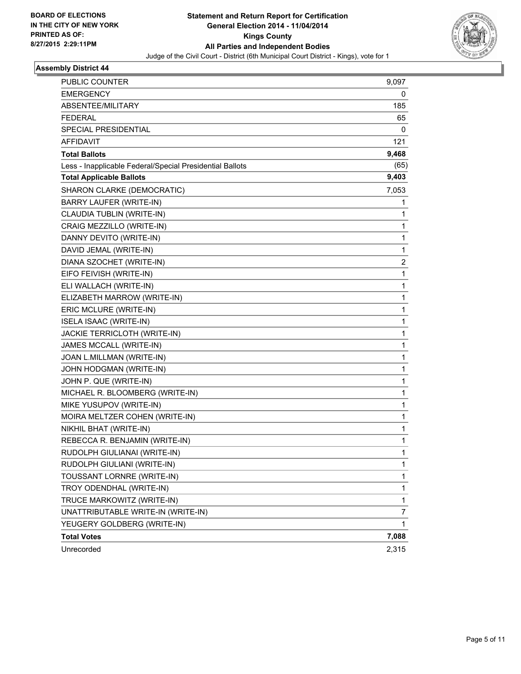

| <b>PUBLIC COUNTER</b>                                    | 9,097          |
|----------------------------------------------------------|----------------|
| EMERGENCY                                                | 0              |
| ABSENTEE/MILITARY                                        | 185            |
| <b>FEDERAL</b>                                           | 65             |
| SPECIAL PRESIDENTIAL                                     | 0              |
| <b>AFFIDAVIT</b>                                         | 121            |
| <b>Total Ballots</b>                                     | 9,468          |
| Less - Inapplicable Federal/Special Presidential Ballots | (65)           |
| <b>Total Applicable Ballots</b>                          | 9,403          |
| SHARON CLARKE (DEMOCRATIC)                               | 7,053          |
| <b>BARRY LAUFER (WRITE-IN)</b>                           | 1              |
| CLAUDIA TUBLIN (WRITE-IN)                                | 1              |
| CRAIG MEZZILLO (WRITE-IN)                                | 1              |
| DANNY DEVITO (WRITE-IN)                                  | $\mathbf 1$    |
| DAVID JEMAL (WRITE-IN)                                   | 1              |
| DIANA SZOCHET (WRITE-IN)                                 | 2              |
| EIFO FEIVISH (WRITE-IN)                                  | 1              |
| ELI WALLACH (WRITE-IN)                                   | 1              |
| ELIZABETH MARROW (WRITE-IN)                              | 1              |
| ERIC MCLURE (WRITE-IN)                                   | $\mathbf 1$    |
| <b>ISELA ISAAC (WRITE-IN)</b>                            | 1              |
| JACKIE TERRICLOTH (WRITE-IN)                             | 1              |
| JAMES MCCALL (WRITE-IN)                                  | 1              |
| JOAN L.MILLMAN (WRITE-IN)                                | 1              |
| JOHN HODGMAN (WRITE-IN)                                  | 1              |
| JOHN P. QUE (WRITE-IN)                                   | $\mathbf 1$    |
| MICHAEL R. BLOOMBERG (WRITE-IN)                          | 1              |
| MIKE YUSUPOV (WRITE-IN)                                  | 1              |
| MOIRA MELTZER COHEN (WRITE-IN)                           | 1              |
| NIKHIL BHAT (WRITE-IN)                                   | 1              |
| REBECCA R. BENJAMIN (WRITE-IN)                           | 1              |
| RUDOLPH GIULIANAI (WRITE-IN)                             | 1              |
| RUDOLPH GIULIANI (WRITE-IN)                              | 1              |
| TOUSSANT LORNRE (WRITE-IN)                               | 1              |
| TROY ODENDHAL (WRITE-IN)                                 | 1              |
| TRUCE MARKOWITZ (WRITE-IN)                               | 1              |
| UNATTRIBUTABLE WRITE-IN (WRITE-IN)                       | $\overline{7}$ |
| YEUGERY GOLDBERG (WRITE-IN)                              | 1              |
| <b>Total Votes</b>                                       | 7,088          |
| Unrecorded                                               | 2,315          |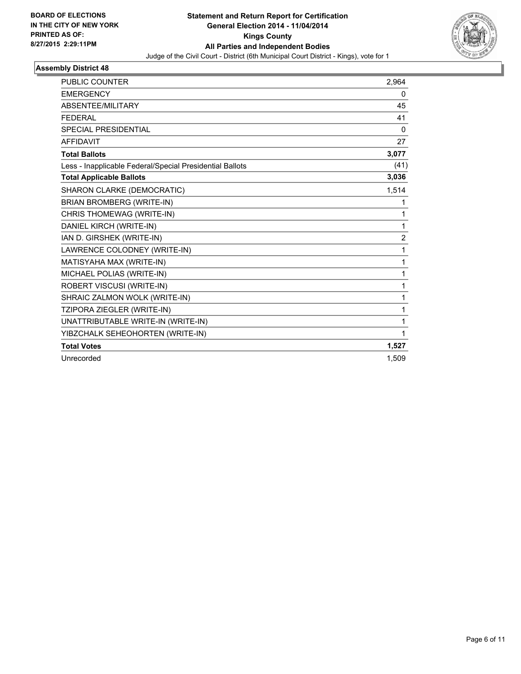

| <b>PUBLIC COUNTER</b>                                    | 2,964          |
|----------------------------------------------------------|----------------|
| <b>EMERGENCY</b>                                         | 0              |
| ABSENTEE/MILITARY                                        | 45             |
| <b>FEDERAL</b>                                           | 41             |
| <b>SPECIAL PRESIDENTIAL</b>                              | $\mathbf{0}$   |
| <b>AFFIDAVIT</b>                                         | 27             |
| <b>Total Ballots</b>                                     | 3,077          |
| Less - Inapplicable Federal/Special Presidential Ballots | (41)           |
| <b>Total Applicable Ballots</b>                          | 3,036          |
| SHARON CLARKE (DEMOCRATIC)                               | 1,514          |
| <b>BRIAN BROMBERG (WRITE-IN)</b>                         | 1              |
| CHRIS THOMEWAG (WRITE-IN)                                | 1              |
| DANIEL KIRCH (WRITE-IN)                                  | 1              |
| IAN D. GIRSHEK (WRITE-IN)                                | $\overline{2}$ |
| LAWRENCE COLODNEY (WRITE-IN)                             | 1              |
| MATISYAHA MAX (WRITE-IN)                                 | 1              |
| MICHAEL POLIAS (WRITE-IN)                                | 1              |
| ROBERT VISCUSI (WRITE-IN)                                | 1              |
| SHRAIC ZALMON WOLK (WRITE-IN)                            | 1              |
| TZIPORA ZIEGLER (WRITE-IN)                               | 1              |
| UNATTRIBUTABLE WRITE-IN (WRITE-IN)                       | 1              |
| YIBZCHALK SEHEOHORTEN (WRITE-IN)                         | 1              |
| <b>Total Votes</b>                                       | 1,527          |
| Unrecorded                                               | 1,509          |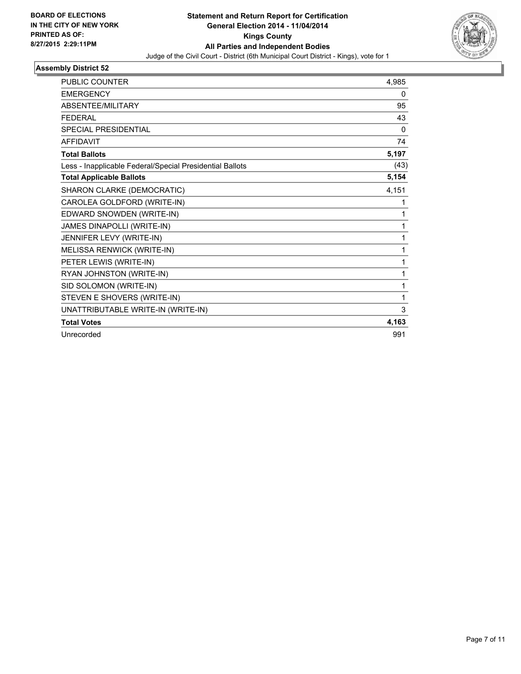

| <b>PUBLIC COUNTER</b>                                    | 4,985 |
|----------------------------------------------------------|-------|
| <b>EMERGENCY</b>                                         | 0     |
| ABSENTEE/MILITARY                                        | 95    |
| <b>FEDERAL</b>                                           | 43    |
| <b>SPECIAL PRESIDENTIAL</b>                              | 0     |
| <b>AFFIDAVIT</b>                                         | 74    |
| <b>Total Ballots</b>                                     | 5,197 |
| Less - Inapplicable Federal/Special Presidential Ballots | (43)  |
| <b>Total Applicable Ballots</b>                          | 5,154 |
| SHARON CLARKE (DEMOCRATIC)                               | 4,151 |
| CAROLEA GOLDFORD (WRITE-IN)                              | 1     |
| EDWARD SNOWDEN (WRITE-IN)                                | 1     |
| JAMES DINAPOLLI (WRITE-IN)                               | 1     |
| JENNIFER LEVY (WRITE-IN)                                 | 1     |
| MELISSA RENWICK (WRITE-IN)                               | 1     |
| PETER LEWIS (WRITE-IN)                                   | 1     |
| RYAN JOHNSTON (WRITE-IN)                                 | 1     |
| SID SOLOMON (WRITE-IN)                                   | 1     |
| STEVEN E SHOVERS (WRITE-IN)                              | 1     |
| UNATTRIBUTABLE WRITE-IN (WRITE-IN)                       | 3     |
| <b>Total Votes</b>                                       | 4,163 |
| Unrecorded                                               | 991   |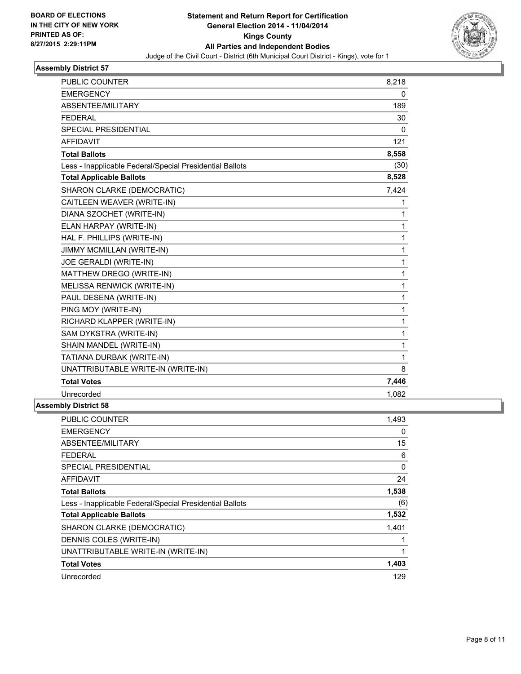

| <b>PUBLIC COUNTER</b>                                    | 8,218 |
|----------------------------------------------------------|-------|
| <b>EMERGENCY</b>                                         | 0     |
| ABSENTEE/MILITARY                                        | 189   |
| <b>FEDERAL</b>                                           | 30    |
| SPECIAL PRESIDENTIAL                                     | 0     |
| <b>AFFIDAVIT</b>                                         | 121   |
| <b>Total Ballots</b>                                     | 8,558 |
| Less - Inapplicable Federal/Special Presidential Ballots | (30)  |
| <b>Total Applicable Ballots</b>                          | 8,528 |
| SHARON CLARKE (DEMOCRATIC)                               | 7,424 |
| CAITLEEN WEAVER (WRITE-IN)                               | 1     |
| DIANA SZOCHET (WRITE-IN)                                 | 1     |
| ELAN HARPAY (WRITE-IN)                                   | 1     |
| HAL F. PHILLIPS (WRITE-IN)                               | 1     |
| JIMMY MCMILLAN (WRITE-IN)                                | 1     |
| JOE GERALDI (WRITE-IN)                                   | 1     |
| MATTHEW DREGO (WRITE-IN)                                 | 1     |
| MELISSA RENWICK (WRITE-IN)                               | 1     |
| PAUL DESENA (WRITE-IN)                                   | 1     |
| PING MOY (WRITE-IN)                                      | 1     |
| RICHARD KLAPPER (WRITE-IN)                               | 1     |
| SAM DYKSTRA (WRITE-IN)                                   | 1     |
| SHAIN MANDEL (WRITE-IN)                                  | 1     |
| TATIANA DURBAK (WRITE-IN)                                | 1     |
| UNATTRIBUTABLE WRITE-IN (WRITE-IN)                       | 8     |
| <b>Total Votes</b>                                       | 7,446 |
| Unrecorded                                               | 1,082 |
| 667 Diateira CO                                          |       |

| <b>PUBLIC COUNTER</b>                                    | 1,493 |
|----------------------------------------------------------|-------|
| <b>EMERGENCY</b>                                         | 0     |
| ABSENTEE/MILITARY                                        | 15    |
| FEDERAL                                                  | 6     |
| <b>SPECIAL PRESIDENTIAL</b>                              | 0     |
| <b>AFFIDAVIT</b>                                         | 24    |
| <b>Total Ballots</b>                                     | 1,538 |
| Less - Inapplicable Federal/Special Presidential Ballots | (6)   |
| <b>Total Applicable Ballots</b>                          | 1,532 |
| SHARON CLARKE (DEMOCRATIC)                               | 1,401 |
| DENNIS COLES (WRITE-IN)                                  |       |
| UNATTRIBUTABLE WRITE-IN (WRITE-IN)                       | 1     |
| <b>Total Votes</b>                                       | 1,403 |
| Unrecorded                                               | 129   |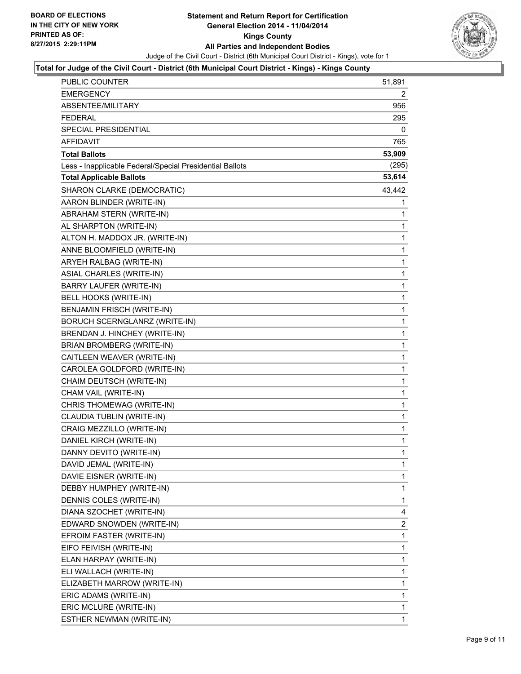

## **Total for Judge of the Civil Court - District (6th Municipal Court District - Kings) - Kings County**

| PUBLIC COUNTER                                           | 51,891       |
|----------------------------------------------------------|--------------|
| <b>EMERGENCY</b>                                         | 2            |
| ABSENTEE/MILITARY                                        | 956          |
| <b>FEDERAL</b>                                           | 295          |
| SPECIAL PRESIDENTIAL                                     | 0            |
| <b>AFFIDAVIT</b>                                         | 765          |
| <b>Total Ballots</b>                                     | 53,909       |
| Less - Inapplicable Federal/Special Presidential Ballots | (295)        |
| <b>Total Applicable Ballots</b>                          | 53,614       |
| SHARON CLARKE (DEMOCRATIC)                               | 43,442       |
| AARON BLINDER (WRITE-IN)                                 | 1            |
| ABRAHAM STERN (WRITE-IN)                                 | 1            |
| AL SHARPTON (WRITE-IN)                                   | 1            |
| ALTON H. MADDOX JR. (WRITE-IN)                           | $\mathbf{1}$ |
| ANNE BLOOMFIELD (WRITE-IN)                               | 1            |
| ARYEH RALBAG (WRITE-IN)                                  | 1            |
| ASIAL CHARLES (WRITE-IN)                                 | 1            |
| BARRY LAUFER (WRITE-IN)                                  | 1            |
| BELL HOOKS (WRITE-IN)                                    | 1            |
| <b>BENJAMIN FRISCH (WRITE-IN)</b>                        | 1            |
| BORUCH SCERNGLANRZ (WRITE-IN)                            | 1            |
| BRENDAN J. HINCHEY (WRITE-IN)                            | 1            |
| <b>BRIAN BROMBERG (WRITE-IN)</b>                         | 1            |
| CAITLEEN WEAVER (WRITE-IN)                               | 1            |
| CAROLEA GOLDFORD (WRITE-IN)                              | 1            |
| CHAIM DEUTSCH (WRITE-IN)                                 | 1            |
| CHAM VAIL (WRITE-IN)                                     | 1            |
| CHRIS THOMEWAG (WRITE-IN)                                | 1            |
| CLAUDIA TUBLIN (WRITE-IN)                                | 1            |
| CRAIG MEZZILLO (WRITE-IN)                                | $\mathbf{1}$ |
| DANIEL KIRCH (WRITE-IN)                                  | 1            |
| DANNY DEVITO (WRITE-IN)                                  | 1            |
| DAVID JEMAL (WRITE-IN)                                   | 1            |
| DAVIE EISNER (WRITE-IN)                                  | 1            |
| DEBBY HUMPHEY (WRITE-IN)                                 | 1            |
| DENNIS COLES (WRITE-IN)                                  | 1            |
| DIANA SZOCHET (WRITE-IN)                                 | 4            |
| EDWARD SNOWDEN (WRITE-IN)                                | 2            |
| EFROIM FASTER (WRITE-IN)                                 | 1            |
| EIFO FEIVISH (WRITE-IN)                                  | 1            |
| ELAN HARPAY (WRITE-IN)                                   | 1            |
| ELI WALLACH (WRITE-IN)                                   | 1            |
| ELIZABETH MARROW (WRITE-IN)                              | 1            |
| ERIC ADAMS (WRITE-IN)                                    | 1            |
| ERIC MCLURE (WRITE-IN)                                   | 1            |
| ESTHER NEWMAN (WRITE-IN)                                 | 1            |
|                                                          |              |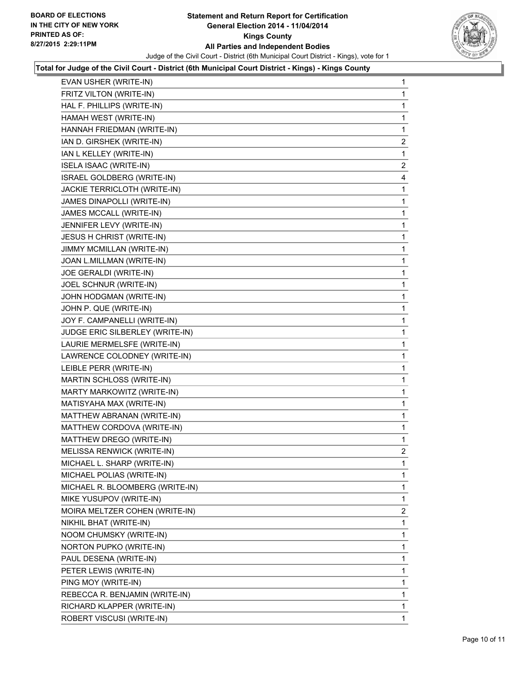

### **Total for Judge of the Civil Court - District (6th Municipal Court District - Kings) - Kings County**

| EVAN USHER (WRITE-IN)            | 1              |
|----------------------------------|----------------|
| FRITZ VILTON (WRITE-IN)          | 1              |
| HAL F. PHILLIPS (WRITE-IN)       | 1              |
| HAMAH WEST (WRITE-IN)            | 1              |
| HANNAH FRIEDMAN (WRITE-IN)       | 1              |
| IAN D. GIRSHEK (WRITE-IN)        | $\overline{a}$ |
| IAN L KELLEY (WRITE-IN)          | 1              |
| <b>ISELA ISAAC (WRITE-IN)</b>    | $\mathbf{2}$   |
| ISRAEL GOLDBERG (WRITE-IN)       | 4              |
| JACKIE TERRICLOTH (WRITE-IN)     | 1              |
| JAMES DINAPOLLI (WRITE-IN)       | 1              |
| JAMES MCCALL (WRITE-IN)          | 1              |
| JENNIFER LEVY (WRITE-IN)         | 1              |
| <b>JESUS H CHRIST (WRITE-IN)</b> | 1              |
| JIMMY MCMILLAN (WRITE-IN)        | 1              |
| JOAN L.MILLMAN (WRITE-IN)        | 1              |
| JOE GERALDI (WRITE-IN)           | 1              |
| JOEL SCHNUR (WRITE-IN)           | 1              |
| JOHN HODGMAN (WRITE-IN)          | 1              |
| JOHN P. QUE (WRITE-IN)           | 1              |
| JOY F. CAMPANELLI (WRITE-IN)     | 1              |
| JUDGE ERIC SILBERLEY (WRITE-IN)  | 1              |
| LAURIE MERMELSFE (WRITE-IN)      | 1              |
| LAWRENCE COLODNEY (WRITE-IN)     | 1              |
| LEIBLE PERR (WRITE-IN)           | 1              |
| MARTIN SCHLOSS (WRITE-IN)        | 1              |
| MARTY MARKOWITZ (WRITE-IN)       | 1              |
| MATISYAHA MAX (WRITE-IN)         | 1              |
| MATTHEW ABRANAN (WRITE-IN)       | 1              |
| MATTHEW CORDOVA (WRITE-IN)       | 1              |
| MATTHEW DREGO (WRITE-IN)         | 1              |
| MELISSA RENWICK (WRITE-IN)       | $\mathbf{2}$   |
| MICHAEL L. SHARP (WRITE-IN)      | 1              |
| MICHAEL POLIAS (WRITE-IN)        | 1              |
| MICHAEL R. BLOOMBERG (WRITE-IN)  | 1              |
| MIKE YUSUPOV (WRITE-IN)          | 1              |
| MOIRA MELTZER COHEN (WRITE-IN)   | $\overline{2}$ |
| NIKHIL BHAT (WRITE-IN)           | 1              |
| NOOM CHUMSKY (WRITE-IN)          | 1              |
| NORTON PUPKO (WRITE-IN)          | 1              |
| PAUL DESENA (WRITE-IN)           | 1              |
| PETER LEWIS (WRITE-IN)           | 1              |
| PING MOY (WRITE-IN)              | 1              |
| REBECCA R. BENJAMIN (WRITE-IN)   | 1              |
| RICHARD KLAPPER (WRITE-IN)       | 1              |
| ROBERT VISCUSI (WRITE-IN)        | 1              |